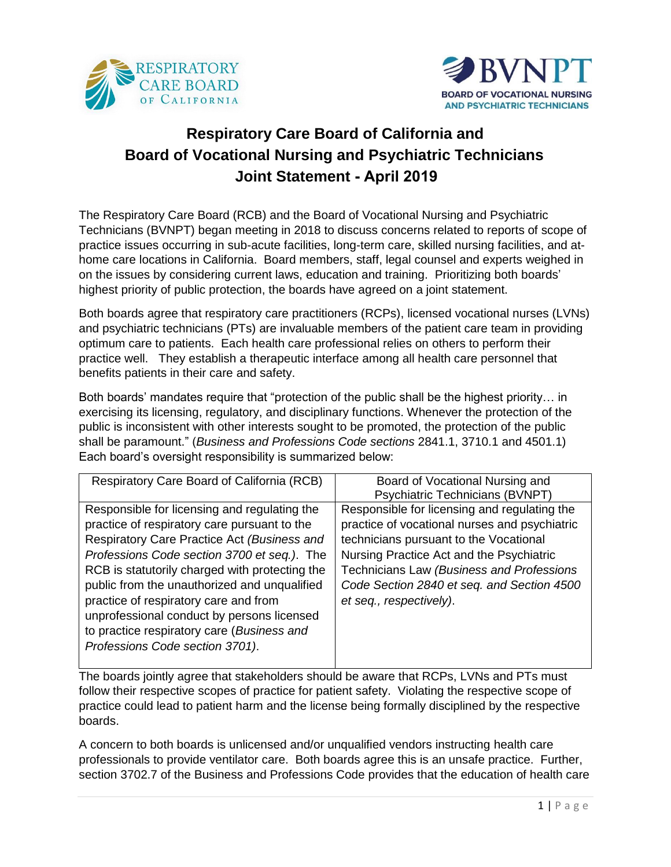



# **Respiratory Care Board of California and Board of Vocational Nursing and Psychiatric Technicians Joint Statement - April 2019**

The Respiratory Care Board (RCB) and the Board of Vocational Nursing and Psychiatric Technicians (BVNPT) began meeting in 2018 to discuss concerns related to reports of scope of practice issues occurring in sub-acute facilities, long-term care, skilled nursing facilities, and athome care locations in California. Board members, staff, legal counsel and experts weighed in on the issues by considering current laws, education and training. Prioritizing both boards' highest priority of public protection, the boards have agreed on a joint statement.

Both boards agree that respiratory care practitioners (RCPs), licensed vocational nurses (LVNs) and psychiatric technicians (PTs) are invaluable members of the patient care team in providing optimum care to patients. Each health care professional relies on others to perform their practice well. They establish a therapeutic interface among all health care personnel that benefits patients in their care and safety.

Both boards' mandates require that "protection of the public shall be the highest priority… in exercising its licensing, regulatory, and disciplinary functions. Whenever the protection of the public is inconsistent with other interests sought to be promoted, the protection of the public shall be paramount." (*Business and Professions Code sections* 2841.1, 3710.1 and 4501.1) Each board's oversight responsibility is summarized below:

| Respiratory Care Board of California (RCB)     | Board of Vocational Nursing and               |
|------------------------------------------------|-----------------------------------------------|
|                                                | <b>Psychiatric Technicians (BVNPT)</b>        |
| Responsible for licensing and regulating the   | Responsible for licensing and regulating the  |
| practice of respiratory care pursuant to the   | practice of vocational nurses and psychiatric |
| Respiratory Care Practice Act (Business and    | technicians pursuant to the Vocational        |
| Professions Code section 3700 et seq.). The    | Nursing Practice Act and the Psychiatric      |
| RCB is statutorily charged with protecting the | Technicians Law (Business and Professions     |
| public from the unauthorized and unqualified   | Code Section 2840 et seq. and Section 4500    |
| practice of respiratory care and from          | et seq., respectively).                       |
| unprofessional conduct by persons licensed     |                                               |
| to practice respiratory care (Business and     |                                               |
| Professions Code section 3701).                |                                               |
|                                                |                                               |

The boards jointly agree that stakeholders should be aware that RCPs, LVNs and PTs must follow their respective scopes of practice for patient safety. Violating the respective scope of practice could lead to patient harm and the license being formally disciplined by the respective boards.

A concern to both boards is unlicensed and/or unqualified vendors instructing health care professionals to provide ventilator care. Both boards agree this is an unsafe practice. Further, section 3702.7 of the Business and Professions Code provides that the education of health care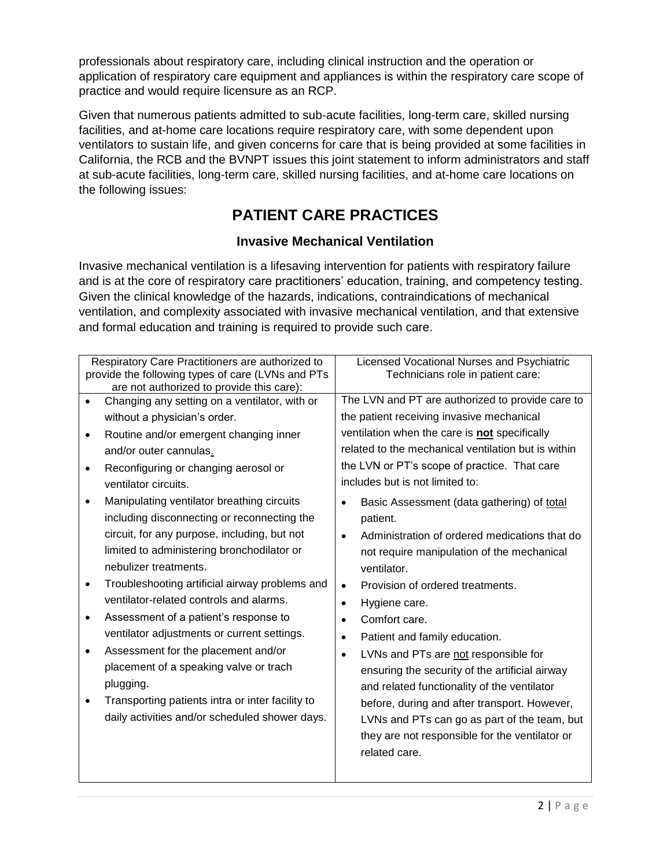professionals about respiratory care, including clinical instruction and the operation or application of respiratory care equipment and appliances is within the respiratory care scope of practice and would require licensure as an RCP.

Given that numerous patients admitted to sub-acute facilities, long-term care, skilled nursing facilities, and at-home care locations require respiratory care, with some dependent upon ventilators to sustain life, and given concerns for care that is being provided at some facilities in California, the RCB and the BVNPT issues this joint statement to inform administrators and staff at sub-acute facilities, long-term care, skilled nursing facilities, and at-home care locations on the following issues:

## **PATIENT CARE PRACTICES**

#### **Invasive Mechanical Ventilation**

Invasive mechanical ventilation is a lifesaving intervention for patients with respiratory failure and is at the core of respiratory care practitioners' education, training, and competency testing. Given the clinical knowledge of the hazards, indications, contraindications of mechanical ventilation, and complexity associated with invasive mechanical ventilation, and that extensive and formal education and training is required to provide such care.

|   | Respiratory Care Practitioners are authorized to<br>provide the following types of care (LVNs and PTs<br>are not authorized to provide this care): |           | Licensed Vocational Nurses and Psychiatric<br>Technicians role in patient care: |
|---|----------------------------------------------------------------------------------------------------------------------------------------------------|-----------|---------------------------------------------------------------------------------|
|   | Changing any setting on a ventilator, with or                                                                                                      |           | The LVN and PT are authorized to provide care to                                |
|   | without a physician's order.                                                                                                                       |           | the patient receiving invasive mechanical                                       |
| ٠ | Routine and/or emergent changing inner                                                                                                             |           | ventilation when the care is <b>not</b> specifically                            |
|   | and/or outer cannulas.                                                                                                                             |           | related to the mechanical ventilation but is within                             |
|   | Reconfiguring or changing aerosol or                                                                                                               |           | the LVN or PT's scope of practice. That care                                    |
|   | ventilator circuits.                                                                                                                               |           | includes but is not limited to:                                                 |
|   | Manipulating ventilator breathing circuits<br>including disconnecting or reconnecting the                                                          | $\bullet$ | Basic Assessment (data gathering) of total<br>patient.                          |
|   | circuit, for any purpose, including, but not                                                                                                       | $\bullet$ | Administration of ordered medications that do                                   |
|   | limited to administering bronchodilator or                                                                                                         |           | not require manipulation of the mechanical                                      |
|   | nebulizer treatments.                                                                                                                              |           | ventilator.                                                                     |
| ٠ | Troubleshooting artificial airway problems and                                                                                                     | $\bullet$ | Provision of ordered treatments.                                                |
|   | ventilator-related controls and alarms.                                                                                                            | $\bullet$ | Hygiene care.                                                                   |
| ٠ | Assessment of a patient's response to                                                                                                              | $\bullet$ | Comfort care.                                                                   |
|   | ventilator adjustments or current settings.                                                                                                        | $\bullet$ | Patient and family education.                                                   |
| ٠ | Assessment for the placement and/or                                                                                                                | $\bullet$ | LVNs and PTs are not responsible for                                            |
|   | placement of a speaking valve or trach                                                                                                             |           | ensuring the security of the artificial airway                                  |
|   | plugging.                                                                                                                                          |           | and related functionality of the ventilator                                     |
| ٠ | Transporting patients intra or inter facility to                                                                                                   |           | before, during and after transport. However,                                    |
|   | daily activities and/or scheduled shower days.                                                                                                     |           | LVNs and PTs can go as part of the team, but                                    |
|   |                                                                                                                                                    |           | they are not responsible for the ventilator or                                  |
|   |                                                                                                                                                    |           | related care.                                                                   |
|   |                                                                                                                                                    |           |                                                                                 |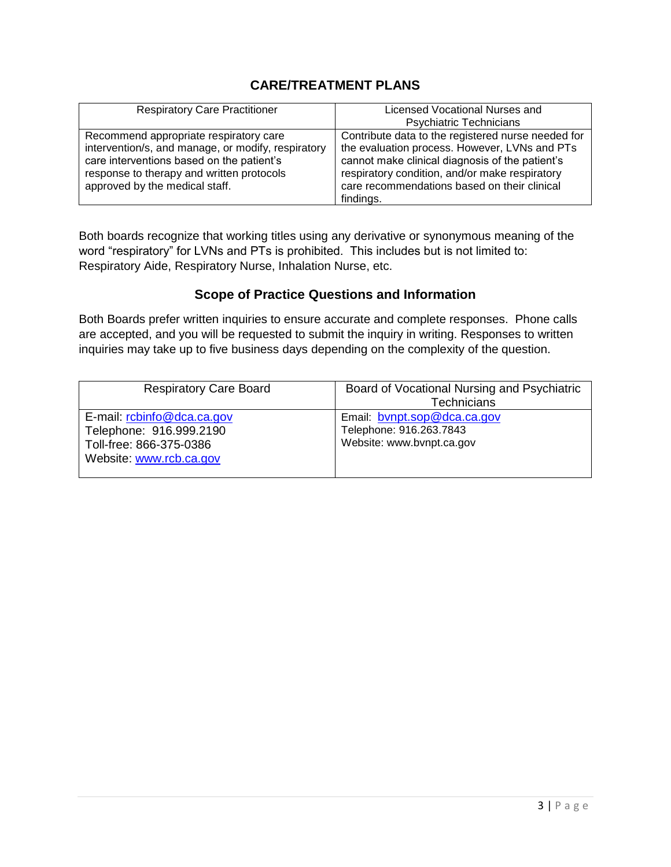## **CARE/TREATMENT PLANS**

| <b>Respiratory Care Practitioner</b>                                                                                                                                                                                     | Licensed Vocational Nurses and                                                                                                                                                                                                                                        |
|--------------------------------------------------------------------------------------------------------------------------------------------------------------------------------------------------------------------------|-----------------------------------------------------------------------------------------------------------------------------------------------------------------------------------------------------------------------------------------------------------------------|
|                                                                                                                                                                                                                          | <b>Psychiatric Technicians</b>                                                                                                                                                                                                                                        |
| Recommend appropriate respiratory care<br>intervention/s, and manage, or modify, respiratory<br>care interventions based on the patient's<br>response to therapy and written protocols<br>approved by the medical staff. | Contribute data to the registered nurse needed for<br>the evaluation process. However, LVNs and PTs<br>cannot make clinical diagnosis of the patient's<br>respiratory condition, and/or make respiratory<br>care recommendations based on their clinical<br>findings. |

Both boards recognize that working titles using any derivative or synonymous meaning of the word "respiratory" for LVNs and PTs is prohibited. This includes but is not limited to: Respiratory Aide, Respiratory Nurse, Inhalation Nurse, etc.

### **Scope of Practice Questions and Information**

Both Boards prefer written inquiries to ensure accurate and complete responses. Phone calls are accepted, and you will be requested to submit the inquiry in writing. Responses to written inquiries may take up to five business days depending on the complexity of the question.

| <b>Respiratory Care Board</b>                                                                               | Board of Vocational Nursing and Psychiatric<br><b>Technicians</b>                   |
|-------------------------------------------------------------------------------------------------------------|-------------------------------------------------------------------------------------|
| E-mail: rcbinfo@dca.ca.gov<br>Telephone: 916.999.2190<br>Toll-free: 866-375-0386<br>Website: www.rcb.ca.gov | Email: bynpt.sop@dca.ca.gov<br>Telephone: 916.263.7843<br>Website: www.bvnpt.ca.gov |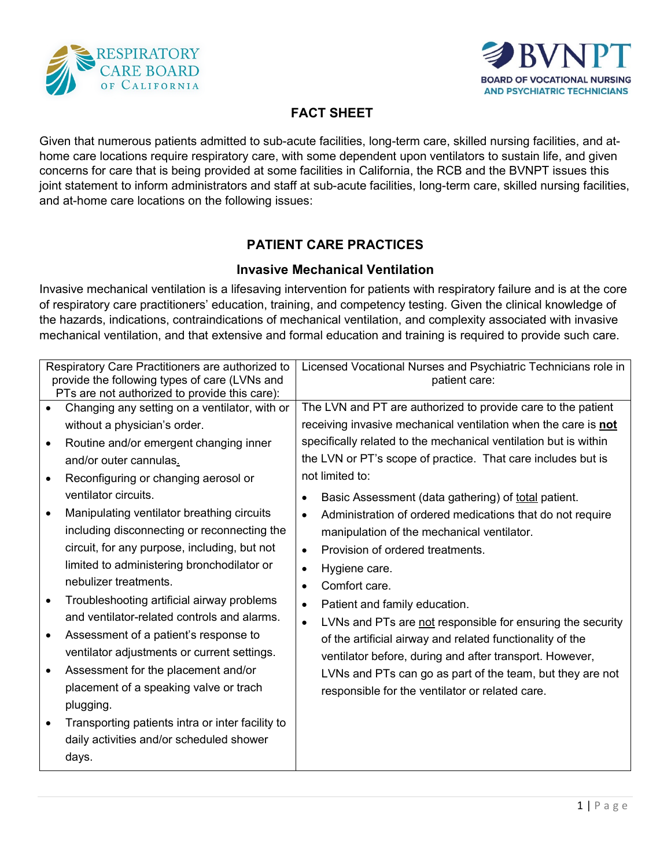



## **FACT SHEET**

Given that numerous patients admitted to sub-acute facilities, long-term care, skilled nursing facilities, and athome care locations require respiratory care, with some dependent upon ventilators to sustain life, and given concerns for care that is being provided at some facilities in California, the RCB and the BVNPT issues this joint statement to inform administrators and staff at sub-acute facilities, long-term care, skilled nursing facilities, and at-home care locations on the following issues:

## **PATIENT CARE PRACTICES**

#### **Invasive Mechanical Ventilation**

Invasive mechanical ventilation is a lifesaving intervention for patients with respiratory failure and is at the core of respiratory care practitioners' education, training, and competency testing. Given the clinical knowledge of the hazards, indications, contraindications of mechanical ventilation, and complexity associated with invasive mechanical ventilation, and that extensive and formal education and training is required to provide such care.

| Respiratory Care Practitioners are authorized to<br>provide the following types of care (LVNs and                                                                                                                                                                                                                                                                                                                                                                                                                                                                                                                                                                                                                                                                                                                                                                                                                                     | Licensed Vocational Nurses and Psychiatric Technicians role in<br>patient care:                                                                                                                                                                                                                                                                                                                                                                                                                                                                                                                                                                                                                                                                                                                                                                                                                                                                         |
|---------------------------------------------------------------------------------------------------------------------------------------------------------------------------------------------------------------------------------------------------------------------------------------------------------------------------------------------------------------------------------------------------------------------------------------------------------------------------------------------------------------------------------------------------------------------------------------------------------------------------------------------------------------------------------------------------------------------------------------------------------------------------------------------------------------------------------------------------------------------------------------------------------------------------------------|---------------------------------------------------------------------------------------------------------------------------------------------------------------------------------------------------------------------------------------------------------------------------------------------------------------------------------------------------------------------------------------------------------------------------------------------------------------------------------------------------------------------------------------------------------------------------------------------------------------------------------------------------------------------------------------------------------------------------------------------------------------------------------------------------------------------------------------------------------------------------------------------------------------------------------------------------------|
| PTs are not authorized to provide this care):<br>Changing any setting on a ventilator, with or<br>$\bullet$<br>without a physician's order.<br>Routine and/or emergent changing inner<br>$\bullet$<br>and/or outer cannulas.<br>Reconfiguring or changing aerosol or<br>$\bullet$<br>ventilator circuits.<br>Manipulating ventilator breathing circuits<br>$\bullet$<br>including disconnecting or reconnecting the<br>circuit, for any purpose, including, but not<br>limited to administering bronchodilator or<br>nebulizer treatments.<br>Troubleshooting artificial airway problems<br>$\bullet$<br>and ventilator-related controls and alarms.<br>Assessment of a patient's response to<br>$\bullet$<br>ventilator adjustments or current settings.<br>Assessment for the placement and/or<br>$\bullet$<br>placement of a speaking valve or trach<br>plugging.<br>Transporting patients intra or inter facility to<br>$\bullet$ | The LVN and PT are authorized to provide care to the patient<br>receiving invasive mechanical ventilation when the care is not<br>specifically related to the mechanical ventilation but is within<br>the LVN or PT's scope of practice. That care includes but is<br>not limited to:<br>Basic Assessment (data gathering) of total patient.<br>٠<br>Administration of ordered medications that do not require<br>$\bullet$<br>manipulation of the mechanical ventilator.<br>Provision of ordered treatments.<br>$\bullet$<br>Hygiene care.<br>$\bullet$<br>Comfort care.<br>$\bullet$<br>Patient and family education.<br>$\bullet$<br>LVNs and PTs are not responsible for ensuring the security<br>$\bullet$<br>of the artificial airway and related functionality of the<br>ventilator before, during and after transport. However,<br>LVNs and PTs can go as part of the team, but they are not<br>responsible for the ventilator or related care. |
| daily activities and/or scheduled shower<br>days.                                                                                                                                                                                                                                                                                                                                                                                                                                                                                                                                                                                                                                                                                                                                                                                                                                                                                     |                                                                                                                                                                                                                                                                                                                                                                                                                                                                                                                                                                                                                                                                                                                                                                                                                                                                                                                                                         |